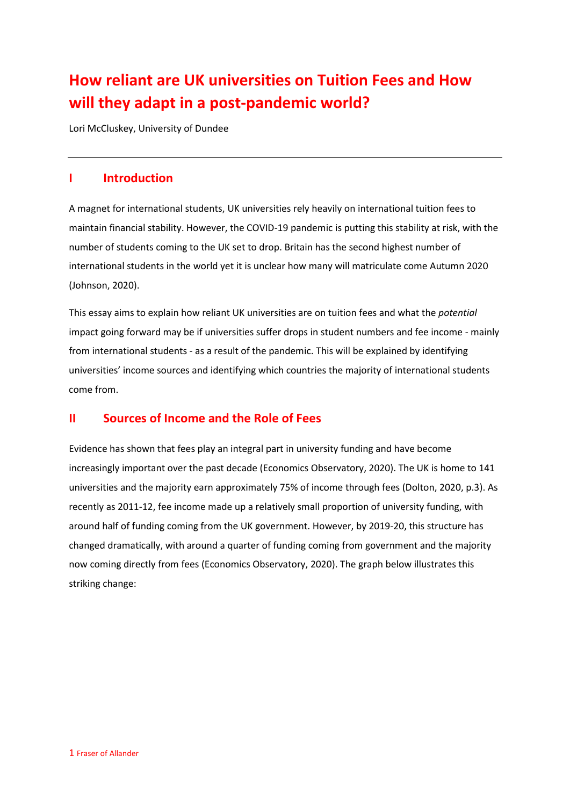# **How reliant are UK universities on Tuition Fees and How will they adapt in a post-pandemic world?**

Lori McCluskey, University of Dundee

# **I Introduction**

A magnet for international students, UK universities rely heavily on international tuition fees to maintain financial stability. However, the COVID-19 pandemic is putting this stability at risk, with the number of students coming to the UK set to drop. Britain has the second highest number of international students in the world yet it is unclear how many will matriculate come Autumn 2020 (Johnson, 2020).

This essay aims to explain how reliant UK universities are on tuition fees and what the *potential*  impact going forward may be if universities suffer drops in student numbers and fee income - mainly from international students - as a result of the pandemic. This will be explained by identifying universities' income sources and identifying which countries the majority of international students come from.

# **II Sources of Income and the Role of Fees**

Evidence has shown that fees play an integral part in university funding and have become increasingly important over the past decade (Economics Observatory, 2020). The UK is home to 141 universities and the majority earn approximately 75% of income through fees (Dolton, 2020, p.3). As recently as 2011-12, fee income made up a relatively small proportion of university funding, with around half of funding coming from the UK government. However, by 2019-20, this structure has changed dramatically, with around a quarter of funding coming from government and the majority now coming directly from fees (Economics Observatory, 2020). The graph below illustrates this striking change: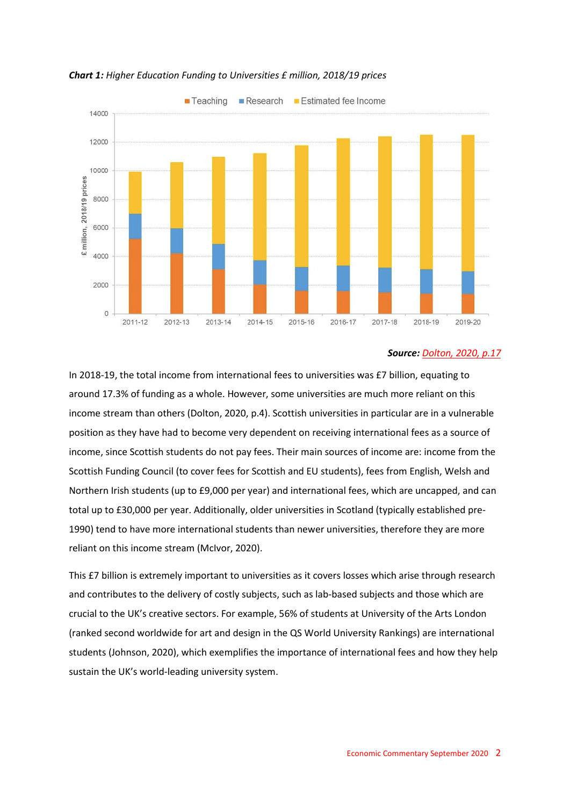

### *Chart 1: Higher Education Funding to Universities £ million, 2018/19 prices*

### *Source: [Dolton, 2020, p.17](https://www.niesr.ac.uk/publications/economics-uk-university-system-time-covid-19)*

In 2018-19, the total income from international fees to universities was £7 billion, equating to around 17.3% of funding as a whole. However, some universities are much more reliant on this income stream than others (Dolton, 2020, p.4). Scottish universities in particular are in a vulnerable position as they have had to become very dependent on receiving international fees as a source of income, since Scottish students do not pay fees. Their main sources of income are: income from the Scottish Funding Council (to cover fees for Scottish and EU students), fees from English, Welsh and Northern Irish students (up to £9,000 per year) and international fees, which are uncapped, and can total up to £30,000 per year. Additionally, older universities in Scotland (typically established pre-1990) tend to have more international students than newer universities, therefore they are more reliant on this income stream (McIvor, 2020).

This £7 billion is extremely important to universities as it covers losses which arise through research and contributes to the delivery of costly subjects, such as lab-based subjects and those which are crucial to the UK's creative sectors. For example, 56% of students at University of the Arts London (ranked second worldwide for art and design in the QS World University Rankings) are international students (Johnson, 2020), which exemplifies the importance of international fees and how they help sustain the UK's world-leading university system.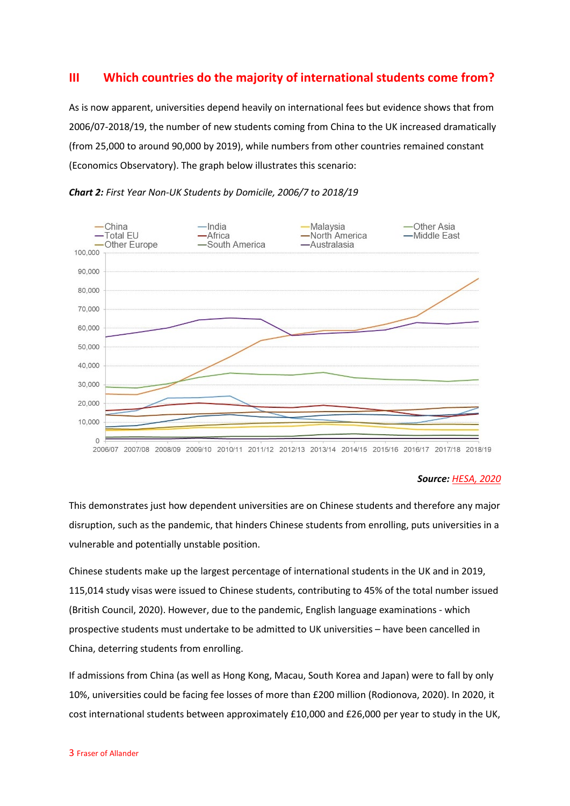# **III Which countries do the majority of international students come from?**

As is now apparent, universities depend heavily on international fees but evidence shows that from 2006/07-2018/19, the number of new students coming from China to the UK increased dramatically (from 25,000 to around 90,000 by 2019), while numbers from other countries remained constant (Economics Observatory). The graph below illustrates this scenario:



*Chart 2: First Year Non-UK Students by Domicile, 2006/7 to 2018/19*

### *Source: [HESA, 2020](https://www.hesa.ac.uk/data-and-analysis/students/chart-6)*

This demonstrates just how dependent universities are on Chinese students and therefore any major disruption, such as the pandemic, that hinders Chinese students from enrolling, puts universities in a vulnerable and potentially unstable position.

Chinese students make up the largest percentage of international students in the UK and in 2019, 115,014 study visas were issued to Chinese students, contributing to 45% of the total number issued (British Council, 2020). However, due to the pandemic, English language examinations - which prospective students must undertake to be admitted to UK universities – have been cancelled in China, deterring students from enrolling.

If admissions from China (as well as Hong Kong, Macau, South Korea and Japan) were to fall by only 10%, universities could be facing fee losses of more than £200 million (Rodionova, 2020). In 2020, it cost international students between approximately £10,000 and £26,000 per year to study in the UK,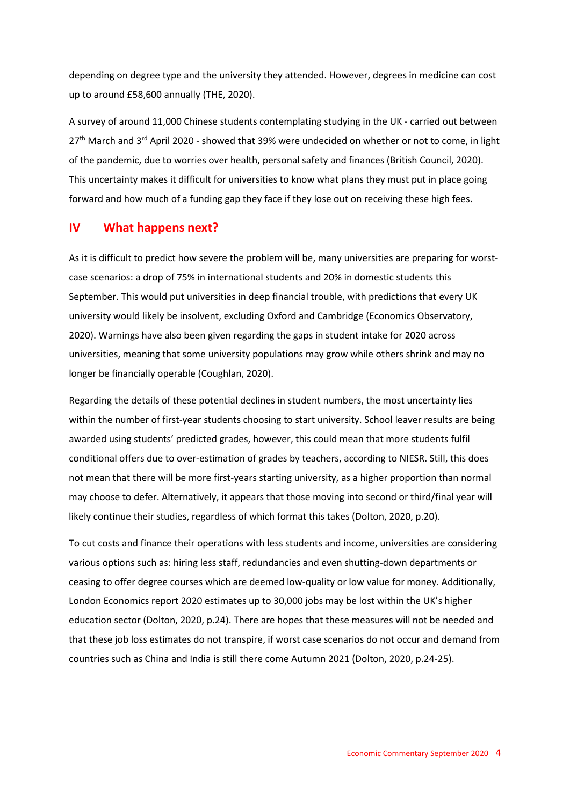depending on degree type and the university they attended. However, degrees in medicine can cost up to around £58,600 annually (THE, 2020).

A survey of around 11,000 Chinese students contemplating studying in the UK - carried out between 27<sup>th</sup> March and 3<sup>rd</sup> April 2020 - showed that 39% were undecided on whether or not to come, in light of the pandemic, due to worries over health, personal safety and finances (British Council, 2020). This uncertainty makes it difficult for universities to know what plans they must put in place going forward and how much of a funding gap they face if they lose out on receiving these high fees.

### **IV What happens next?**

As it is difficult to predict how severe the problem will be, many universities are preparing for worstcase scenarios: a drop of 75% in international students and 20% in domestic students this September. This would put universities in deep financial trouble, with predictions that every UK university would likely be insolvent, excluding Oxford and Cambridge (Economics Observatory, 2020). Warnings have also been given regarding the gaps in student intake for 2020 across universities, meaning that some university populations may grow while others shrink and may no longer be financially operable (Coughlan, 2020).

Regarding the details of these potential declines in student numbers, the most uncertainty lies within the number of first-year students choosing to start university. School leaver results are being awarded using students' predicted grades, however, this could mean that more students fulfil conditional offers due to over-estimation of grades by teachers, according to NIESR. Still, this does not mean that there will be more first-years starting university, as a higher proportion than normal may choose to defer. Alternatively, it appears that those moving into second or third/final year will likely continue their studies, regardless of which format this takes (Dolton, 2020, p.20).

To cut costs and finance their operations with less students and income, universities are considering various options such as: hiring less staff, redundancies and even shutting-down departments or ceasing to offer degree courses which are deemed low-quality or low value for money. Additionally, London Economics report 2020 estimates up to 30,000 jobs may be lost within the UK's higher education sector (Dolton, 2020, p.24). There are hopes that these measures will not be needed and that these job loss estimates do not transpire, if worst case scenarios do not occur and demand from countries such as China and India is still there come Autumn 2021 (Dolton, 2020, p.24-25).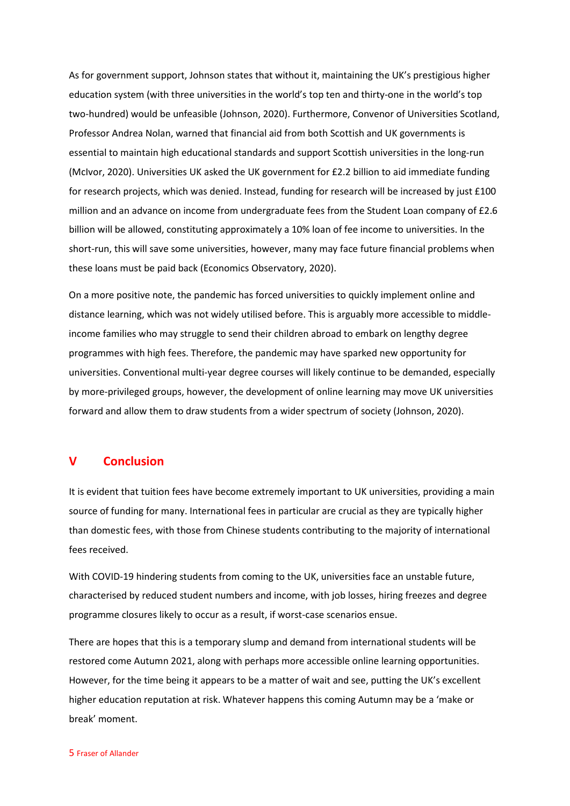As for government support, Johnson states that without it, maintaining the UK's prestigious higher education system (with three universities in the world's top ten and thirty-one in the world's top two-hundred) would be unfeasible (Johnson, 2020). Furthermore, Convenor of Universities Scotland, Professor Andrea Nolan, warned that financial aid from both Scottish and UK governments is essential to maintain high educational standards and support Scottish universities in the long-run (McIvor, 2020). Universities UK asked the UK government for £2.2 billion to aid immediate funding for research projects, which was denied. Instead, funding for research will be increased by just £100 million and an advance on income from undergraduate fees from the Student Loan company of £2.6 billion will be allowed, constituting approximately a 10% loan of fee income to universities. In the short-run, this will save some universities, however, many may face future financial problems when these loans must be paid back (Economics Observatory, 2020).

On a more positive note, the pandemic has forced universities to quickly implement online and distance learning, which was not widely utilised before. This is arguably more accessible to middleincome families who may struggle to send their children abroad to embark on lengthy degree programmes with high fees. Therefore, the pandemic may have sparked new opportunity for universities. Conventional multi-year degree courses will likely continue to be demanded, especially by more-privileged groups, however, the development of online learning may move UK universities forward and allow them to draw students from a wider spectrum of society (Johnson, 2020).

### **V Conclusion**

It is evident that tuition fees have become extremely important to UK universities, providing a main source of funding for many. International fees in particular are crucial as they are typically higher than domestic fees, with those from Chinese students contributing to the majority of international fees received.

With COVID-19 hindering students from coming to the UK, universities face an unstable future, characterised by reduced student numbers and income, with job losses, hiring freezes and degree programme closures likely to occur as a result, if worst-case scenarios ensue.

There are hopes that this is a temporary slump and demand from international students will be restored come Autumn 2021, along with perhaps more accessible online learning opportunities. However, for the time being it appears to be a matter of wait and see, putting the UK's excellent higher education reputation at risk. Whatever happens this coming Autumn may be a 'make or break' moment.